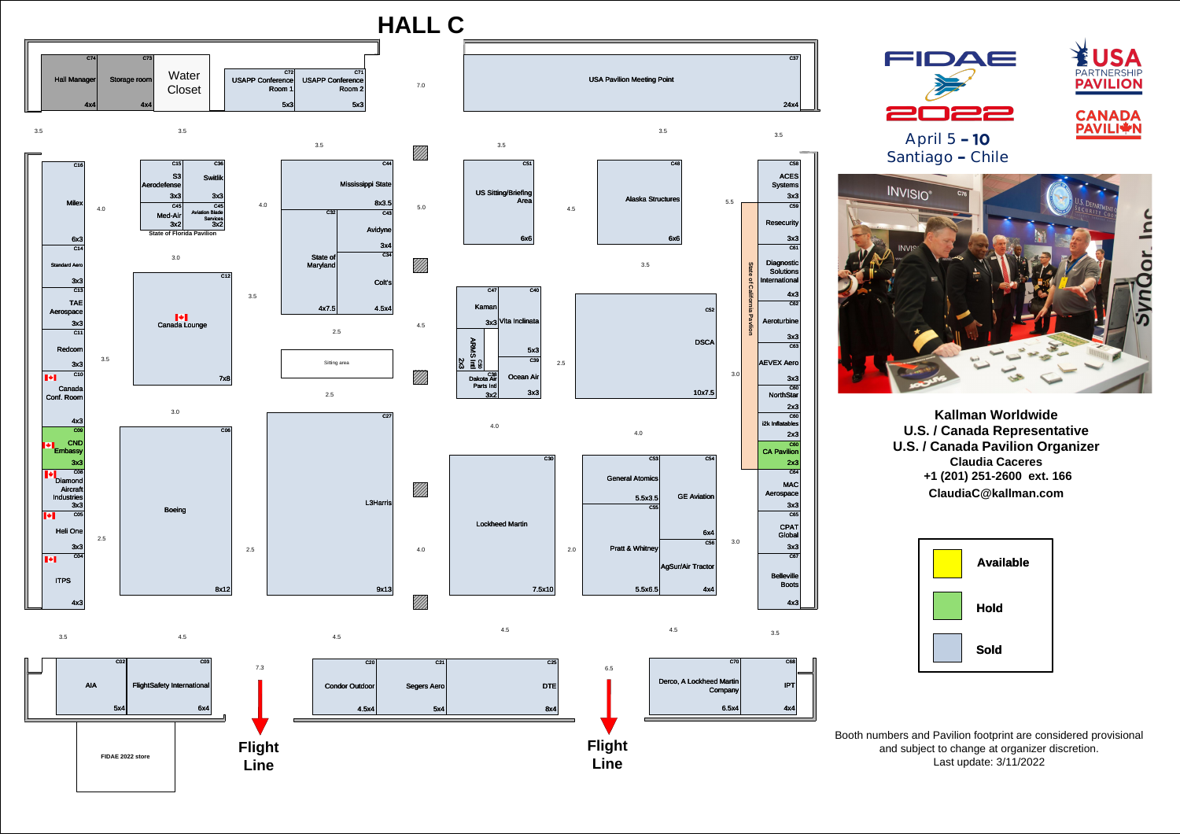**Flight** 

**Line**

**Line**

## **HALL C**

3.0

4.5

## **April 5**  Santiago - Chile



4.0

/////<br>/////

////

////

7.0

4.0

3.5

3.5

3.5

C45

Aviation Blade Services 3x2

C65

CPAT Global

3x3

 $\overline{C67}$ 

**Belleville** 

C64

MAC

**Aerospace** 

**NorthStar** 

Derco, A Lockheed Martin Company  $6.5x4$  3x3

2.5 3.0 7x8 C06 Boeing 8x12

C16 Milex 4.0 6x3 C14 Standard Aero 3x3  $\overline{C13}$ TAE Aerospace 3x3  $\overline{C11}$ Redcom 3.5 3x3  $\overline{C10}$  $\left\| \cdot \right\|$ **Canada** Conf. Room 4x3  $\overline{CO9}$ CND **Embassy** 3x3 C08 Diamond Aircraf **Industries** 3x3  $\blacksquare \blacklozenge \blacksquare$ C05 Heli One 2.5 3x3  $\overline{CO4}$  $\left\| \cdot \right\|$ ITPS 4x3

> **Flight**  C25 DTE 8x4

Boots

4x3

10x7.5

 $\overline{C54}$ 





C12

Canada Lounge

 $\left\| \cdot \right\|$ 

C70

C68

IPT

4x4



4.0

4.5

4.5

3.0

C36

Switlik

3x3

## **Kallman Worldwide U.S. / Canada Representative U.S. / Canada Pavilion Organizer Claudia Caceres +1 (201) 251-2600 ext. 166 ClaudiaC@kallman.com**







Booth numbers and Pavilion footprint are considered provisional and subject to change at organizer discretion. Last update: 3/11/2022









6x4 C56

 $4x4$ 

**GE** Aviation

AgSur/Air Tractor

C15

S3

Aerodefense

3x3

C55

General Atomics

3x2

3x3

C45

 $3x2$ 

Med-Air

**State of Florida Pavilion**

2x3

 $\overline{C60}$ 



C<sub>53</sub>

 $5.5x3.5$ 

5.5x6.5 $|$ 

i2k Inflatables

2x3

C60

CA Pavilion

2x3

4.0

Pratt & Whitney

4.5